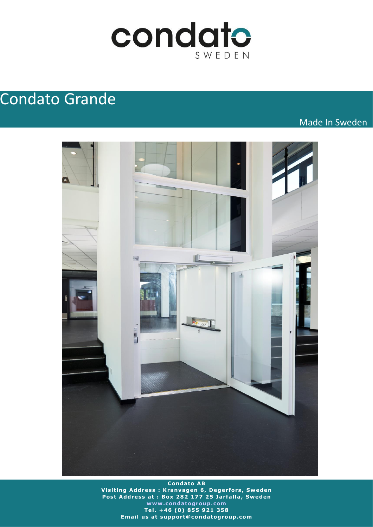

# Condato Grande

Made In Sweden



**Condato AB V is it ing Address : Kranvagen 6 , Degerfors, Sweden** Post Address at : Box 282 177 25 Jarfalla, Sweden **[www .condatogroup .com](http://www.condatogroup.com/) Te l . +46 (0) 855 921 358 Email us at support@condatogroup.com**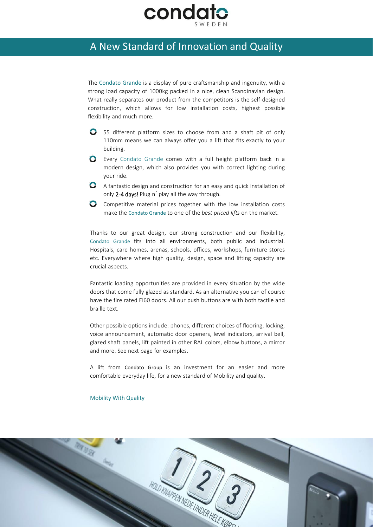

### A New Standard of Innovation and Quality

The Condato Grande is a display of pure craftsmanship and ingenuity, with a strong load capacity of 1000kg packed in a nice, clean Scandinavian design. What really separates our product from the competitors is the self-designed construction, which allows for low installation costs, highest possible flexibility and much more.

- 55 different platform sizes to choose from and a shaft pit of only 110mm means we can always offer you a lift that fits exactly to your building.
- Every Condato Grande comes with a full height platform back in a modern design, which also provides you with correct lighting during your ride.
- A fantastic design and construction for an easy and quick installation of only 2-4 days! Plug n´ play all the way through.
- **C** Competitive material prices together with the low installation costs make the Condato Grande to one of the *best priced lifts* on the market.

Thanks to our great design, our strong construction and our flexibility, Condato Grande fits into all environments, both public and industrial. Hospitals, care homes, arenas, schools, offices, workshops, furniture stores etc. Everywhere where high quality, design, space and lifting capacity are crucial aspects.

Fantastic loading opportunities are provided in every situation by the wide doors that come fully glazed as standard. As an alternative you can of course have the fire rated EI60 doors. All our push buttons are with both tactile and braille text.

Other possible options include: phones, different choices of flooring, locking, voice announcement, automatic door openers, level indicators, arrival bell, glazed shaft panels, lift painted in other RAL colors, elbow buttons, a mirror and more. See next page for examples.

A lift from Condato Group is an investment for an easier and more comfortable everyday life, for a new standard of Mobility and quality.

#### Mobility With Quality

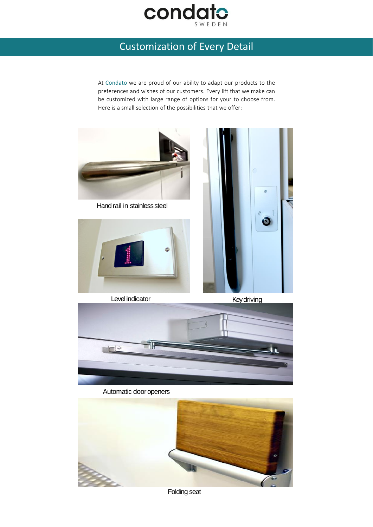

## Customization of Every Detail

At Condato we are proud of our ability to adapt our products to the preferences and wishes of our customers. Every lift that we make can be customized with large range of options for your to choose from. Here is a small selection of the possibilities that we offer:





Folding seat